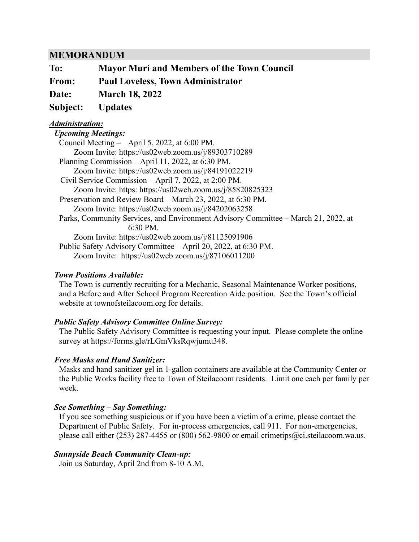### **MEMORANDUM**

| To:          | <b>Mayor Muri and Members of the Town Council</b> |
|--------------|---------------------------------------------------|
| From:        | <b>Paul Loveless, Town Administrator</b>          |
| <b>Date:</b> | <b>March 18, 2022</b>                             |
|              | Subject: Updates                                  |
|              |                                                   |

#### *Administration: Upcoming Meetings:*

### *Town Positions Available:*

The Town is currently recruiting for a Mechanic, Seasonal Maintenance Worker positions, and a Before and After School Program Recreation Aide position. See the Town's official website at townofsteilacoom.org for details.

### *Public Safety Advisory Committee Online Survey:*

The Public Safety Advisory Committee is requesting your input. Please complete the online survey at [https://forms.gle/rLGmVksRqwjumu348.](https://forms.gle/rLGmVksRqwjumu348)

### *Free Masks and Hand Sanitizer:*

Masks and hand sanitizer gel in 1-gallon containers are available at the Community Center or the Public Works facility free to Town of Steilacoom residents. Limit one each per family per week.

### *See Something – Say Something:*

If you see something suspicious or if you have been a victim of a crime, please contact the Department of Public Safety. For in-process emergencies, call 911. For non-emergencies, please call either (253) 287-4455 or (800) 562-9800 or email [crimetips@ci.steilacoom.wa.us.](mailto:crimetips@ci.steilacoom.wa.us)

### *Sunnyside Beach Community Clean-up:*

Join us Saturday, April 2nd from 8-10 A.M.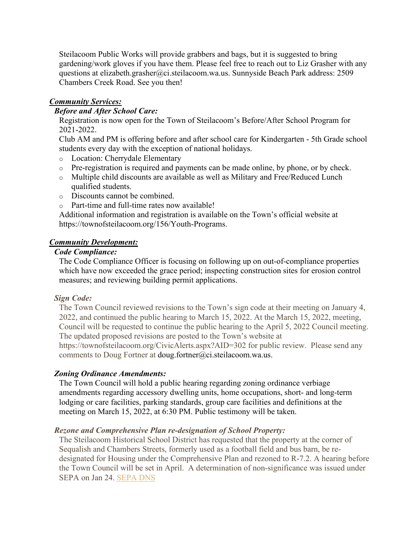Steilacoom Public Works will provide grabbers and bags, but it is suggested to bring gardening/work gloves if you have them. Please feel free to reach out to Liz Grasher with any questions at [elizabeth.grasher@ci.steilacoom.wa.us.](mailto:elizabeth.grasher@ci.steilacoom.wa.us) Sunnyside Beach Park address: 2509 Chambers Creek Road. See you then!

### *Community Services:*

### *Before and After School Care:*

Registration is now open for the Town of Steilacoom's Before/After School Program for 2021-2022.

Club AM and PM is offering before and after school care for Kindergarten - 5th Grade school students every day with the exception of national holidays.

- o Location: Cherrydale Elementary
- o Pre-registration is required and payments can be made online, by phone, or by check.
- o Multiple child discounts are available as well as Military and Free/Reduced Lunch qualified students.
- o Discounts cannot be combined.
- o Part-time and full-time rates now available!

Additional information and registration is available on the Town's official website at [https://townofsteilacoom.org/156/Youth-Programs.](https://townofsteilacoom.org/156/Youth-Programs)

### *Community Development:*

### *Code Compliance:*

The Code Compliance Officer is focusing on following up on out-of-compliance properties which have now exceeded the grace period; inspecting construction sites for erosion control measures; and reviewing building permit applications.

### *Sign Code:*

The Town Council reviewed revisions to the Town's sign code at their meeting on January 4, 2022, and continued the public hearing to March 15, 2022. At the March 15, 2022, meeting, Council will be requested to continue the public hearing to the April 5, 2022 Council meeting. The updated proposed revisions are posted to the Town's website at

https://townofsteilacoom.org/CivicAlerts.aspx?AID=302 for public review. Please send any comments to Doug Fortner at [doug.fortner@ci.steilacoom.wa.us.](mailto:doug.fortner@ci.steilacoom.wa.us)

### *Zoning Ordinance Amendments:*

The Town Council will hold a public hearing regarding zoning ordinance verbiage amendments regarding accessory dwelling units, home occupations, short- and long-term lodging or care facilities, parking standards, group care facilities and definitions at the meeting on March 15, 2022, at 6:30 PM. Public testimony will be taken.

### *Rezone and Comprehensive Plan re-designation of School Property:*

The Steilacoom Historical School District has requested that the property at the corner of Sequalish and Chambers Streets, formerly used as a football field and bus barn, be redesignated for Housing under the Comprehensive Plan and rezoned to R-7.2. A hearing before the Town Council will be set in April. A determination of non-significance was issued under SEPA on Jan 24. [SEPA](https://townofsteilacoom.org/DocumentCenter/View/2929/DNS-and-checklist) DNS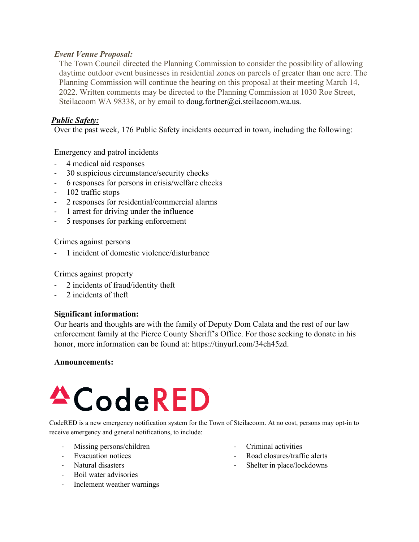### *Event Venue Proposal:*

The Town Council directed the Planning Commission to consider the possibility of allowing daytime outdoor event businesses in residential zones on parcels of greater than one acre. The Planning Commission will continue the hearing on this proposal at their meeting March 14, 2022. Written comments may be directed to the Planning Commission at 1030 Roe Street, Steilacoom WA 98338, or by email to [doug.fortner@ci.steilacoom.wa.us.](mailto:doug.fortner@ci.steilacoom.wa.us)

### *Public Safety:*

Over the past week, 176 Public Safety incidents occurred in town, including the following:

Emergency and patrol incidents

- 4 medical aid responses
- 30 suspicious circumstance/security checks
- 6 responses for persons in crisis/welfare checks
- 102 traffic stops
- 2 responses for residential/commercial alarms
- 1 arrest for driving under the influence
- 5 responses for parking enforcement

Crimes against persons

- 1 incident of domestic violence/disturbance

Crimes against property

- 2 incidents of fraud/identity theft
- 2 incidents of theft

### **Significant information:**

Our hearts and thoughts are with the family of Deputy Dom Calata and the rest of our law enforcement family at the Pierce County Sheriff's Office. For those seeking to donate in his honor, more information can be found at: https://tinyurl.com/34ch45zd.

### **Announcements:**

# <sup>4</sup>CodeRED

CodeRED is a new emergency notification system for the Town of Steilacoom. At no cost, persons may opt-in to receive emergency and general notifications, to include:

- Missing persons/children
- Evacuation notices
- Natural disasters
- Boil water advisories
- Inclement weather warnings
- Criminal activities
- Road closures/traffic alerts
- Shelter in place/lockdowns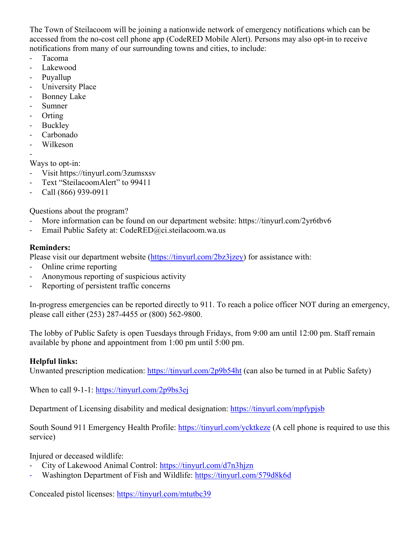The Town of Steilacoom will be joining a nationwide network of emergency notifications which can be accessed from the no-cost cell phone app (CodeRED Mobile Alert). Persons may also opt-in to receive notifications from many of our surrounding towns and cities, to include:

- Tacoma
- Lakewood
- Puyallup
- University Place
- Bonney Lake
- Sumner
- Orting
- Buckley
- Carbonado
- Wilkeson
- -

Ways to opt-in:

- Visit https://tinyurl.com/3zumsxsv
- Text "SteilacoomAlert" to 99411
- Call (866) 939-0911

Questions about the program?

- More information can be found on our department website: https://tinyurl.com/2yr6tbv6
- Email Public Safety at: CodeRED@ci.steilacoom.wa.us

### **Reminders:**

Please visit our department website [\(https://tinyurl.com/2bz3jzey\)](https://tinyurl.com/2bz3jzey) for assistance with:

- Online crime reporting
- Anonymous reporting of suspicious activity
- Reporting of persistent traffic concerns

In-progress emergencies can be reported directly to 911. To reach a police officer NOT during an emergency, please call either (253) 287-4455 or (800) 562-9800.

The lobby of Public Safety is open Tuesdays through Fridays, from 9:00 am until 12:00 pm. Staff remain available by phone and appointment from 1:00 pm until 5:00 pm.

### **Helpful links:**

Unwanted prescription medication:<https://tinyurl.com/2p9b54ht>(can also be turned in at Public Safety)

When to call 9-1-1:<https://tinyurl.com/2p9bs3ej>

Department of Licensing disability and medical designation:<https://tinyurl.com/mpfypjsb>

South Sound 911 Emergency Health Profile:<https://tinyurl.com/ycktkeze>(A cell phone is required to use this service)

Injured or deceased wildlife:

- City of Lakewood Animal Control:<https://tinyurl.com/d7n3hjzn>
- Washington Department of Fish and Wildlife:<https://tinyurl.com/579d8k6d>

Concealed pistol licenses:<https://tinyurl.com/mtutbc39>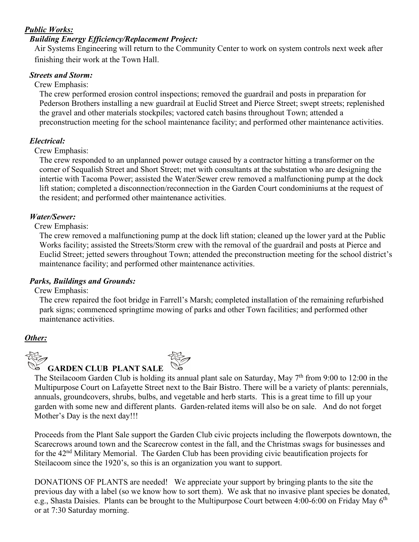### *Public Works:*

## *Building Energy Efficiency/Replacement Project:*

Air Systems Engineering will return to the Community Center to work on system controls next week after finishing their work at the Town Hall.

## *Streets and Storm:*

Crew Emphasis:

The crew performed erosion control inspections; removed the guardrail and posts in preparation for Pederson Brothers installing a new guardrail at Euclid Street and Pierce Street; swept streets; replenished the gravel and other materials stockpiles; vactored catch basins throughout Town; attended a preconstruction meeting for the school maintenance facility; and performed other maintenance activities.

### *Electrical:*

Crew Emphasis:

The crew responded to an unplanned power outage caused by a contractor hitting a transformer on the corner of Sequalish Street and Short Street; met with consultants at the substation who are designing the intertie with Tacoma Power; assisted the Water/Sewer crew removed a malfunctioning pump at the dock lift station; completed a disconnection/reconnection in the Garden Court condominiums at the request of the resident; and performed other maintenance activities.

## *Water/Sewer:*

Crew Emphasis:

The crew removed a malfunctioning pump at the dock lift station; cleaned up the lower yard at the Public Works facility; assisted the Streets/Storm crew with the removal of the guardrail and posts at Pierce and Euclid Street; jetted sewers throughout Town; attended the preconstruction meeting for the school district's maintenance facility; and performed other maintenance activities.

## *Parks, Buildings and Grounds:*

Crew Emphasis:

The crew repaired the foot bridge in Farrell's Marsh; completed installation of the remaining refurbished park signs; commenced springtime mowing of parks and other Town facilities; and performed other maintenance activities.

## *Other:*



## **GARDEN CLUB PLANT SALE**



[The](https://newtoniannocturn.deviantart.com/art/Flower-Tattoo-180053231) Steilacoom Garden Club is holding i[ts ann](https://newtoniannocturn.deviantart.com/art/Flower-Tattoo-180053231)ual plant sale on Saturday, May  $7<sup>th</sup>$  from 9:00 to 12:00 in the [Mu](https://newtoniannocturn.deviantart.com/art/Flower-Tattoo-180053231)ltipurpose Court on Lafayette Street n[ext to](https://newtoniannocturn.deviantart.com/art/Flower-Tattoo-180053231) the Bair Bistro. There will be a variety of plants: perennials, annuals, groundcovers, shrubs, bulbs, an[d v](https://newtoniannocturn.deviantart.com/art/Flower-Tattoo-180053231)egetable and herb starts. This is a great time to fill up your garden with some new and different plants. Garden-related items will also be on sale. And do not forget Mother's Day is the next day!!!

Proceeds from the Plant Sale support the Garden Club civic projects including the flowerpots downtown, the Scarecrows around town and the Scarecrow contest in the fall, and the Christmas swags for businesses and for the 42<sup>nd</sup> Military Memorial. The Garden Club has been providing civic beautification projects for Steilacoom since the 1920's, so this is an organization you want to support.

[DO](https://creativecommons.org/licenses/by-nc-sa/3.0/)NATIONS OF PLANTS are needed! [We](https://creativecommons.org/licenses/by-nc-sa/3.0/) appreciate your support by bringing plants to the site the [pre](https://creativecommons.org/licenses/by-nc-sa/3.0/)vious day with a label (so we know h[ow to](https://creativecommons.org/licenses/by-nc-sa/3.0/) sort them). We ask that no invasive plant species be donated, [e.](https://creativecommons.org/licenses/by-nc-sa/3.0/)g., Shasta Daisies. Plants can be broug[ht to](https://creativecommons.org/licenses/by-nc-sa/3.0/) the Multipurpose Court between 4:00-6:00 on Friday May 6<sup>th</sup> or at 7:30 Saturday morning.